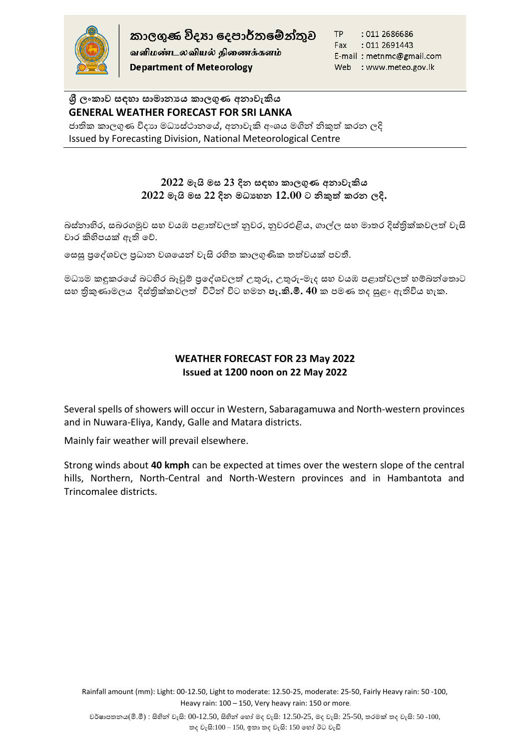

வளிமண்டலவியல் திணைக்களம் **Department of Meteorology** 

TP : 011 2686686 Fax : 011 2691443 E-mail: metnmc@gmail.com Web : www.meteo.gov.lk

# **ශ්රී ලාකාව සඳහා සාමානයය කාලගුණ අනාවැකිය GENERAL WEATHER FORECAST FOR SRI LANKA**

ජාතික කාලගුණ විදාහ මධාස්ථානයේ, අනාවැකි අංශය මගින් නිකුත් කරන ලදි Issued by Forecasting Division, National Meteorological Centre

### **2022 මැයි මස 23 දින සඳහා කාලගුණ අනාවැකිය 2022 මැයි මස 22 දින මධ්යහන 12.00 ට නිකුත් කරන ලදි.**

බස්නාහිර, සබරගමුව සහ වයඹ පළාත්වලත් නුවර, නුවරඑළිය, ගාල්ල සහ මාතර දිස්තික්කවලත් වැසි වාර කිහිපයක් ඇති හේ.

සෙසු පුදේශවල පුධාන වශයෙන් වැසි රහිත කාලගුණික තත්වයක් පවතී.

මධාාම කඳුකරයේ බටහිර බෑවුම් පුදේශවලත් උතුරු, උතුරු-මැද සහ වයඹ පළාත්වලත් හම්බන්තොට සහ තිකුණාමලය දිස්තික්කවලත් විටින් විට හමන **පැ.කි.මී. 40** ක පමණ තද සුළං ඇතිවිය හැක.

### **WEATHER FORECAST FOR 23 May 2022 Issued at 1200 noon on 22 May 2022**

Several spells of showers will occur in Western, Sabaragamuwa and North-western provinces and in Nuwara-Eliya, Kandy, Galle and Matara districts.

Mainly fair weather will prevail elsewhere.

Strong winds about **40 kmph** can be expected at times over the western slope of the central hills, Northern, North-Central and North-Western provinces and in Hambantota and Trincomalee districts.